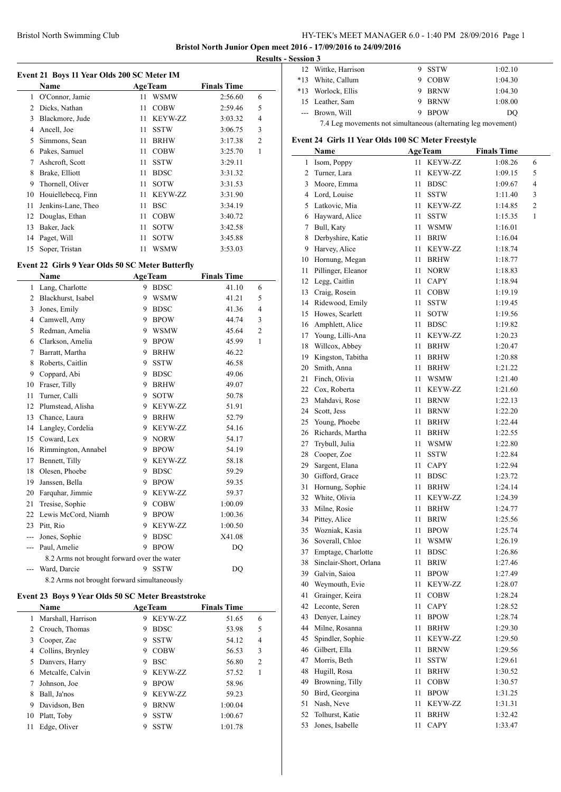# Bristol North Swimming Club HY-TEK's MEET MANAGER 6.0 - 1:40 PM 28/09/2016 Page 1

**Bristol North Junior Open meet 2016 - 17/09/2016 to 24/09/2016**

 $\overline{a}$ 

**Results - Session 3**

| Event 21 Boys 11 Year Olds 200 SC Meter IM |  |
|--------------------------------------------|--|
|                                            |  |

|    | Name               |    | <b>AgeTeam</b> | <b>Finals Time</b> |                |  |
|----|--------------------|----|----------------|--------------------|----------------|--|
|    | 1 O'Connor, Jamie  | 11 | <b>WSMW</b>    | 2:56.60            | 6              |  |
| 2  | Dicks, Nathan      | 11 | <b>COBW</b>    | 2:59.46            | 5              |  |
| 3  | Blackmore, Jude    | 11 | <b>KEYW-ZZ</b> | 3:03.32            | 4              |  |
| 4  | Ancell, Joe        | 11 | <b>SSTW</b>    | 3:06.75            | 3              |  |
| 5  | Simmons, Sean      | 11 | <b>BRHW</b>    | 3:17.38            | $\overline{2}$ |  |
| 6  | Pakes, Samuel      | 11 | <b>COBW</b>    | 3:25.70            | 1              |  |
| 7  | Ashcroft, Scott    | 11 | <b>SSTW</b>    | 3:29.11            |                |  |
| 8  | Brake, Elliott     | 11 | <b>BDSC</b>    | 3:31.32            |                |  |
| 9  | Thornell, Oliver   | 11 | <b>SOTW</b>    | 3:31.53            |                |  |
| 10 | Houiellebecg, Finn | 11 | <b>KEYW-ZZ</b> | 3:31.90            |                |  |
| 11 | Jenkins-Lane, Theo | 11 | BSC            | 3:34.19            |                |  |
| 12 | Douglas, Ethan     | 11 | <b>COBW</b>    | 3:40.72            |                |  |
| 13 | Baker, Jack        | 11 | <b>SOTW</b>    | 3:42.58            |                |  |
| 14 | Paget, Will        | 11 | <b>SOTW</b>    | 3:45.88            |                |  |
| 15 | Soper, Tristan     | 11 | WSMW           | 3:53.03            |                |  |

## **Event 22 Girls 9 Year Olds 50 SC Meter Butterfly**

|     | Name                                        |   | <b>AgeTeam</b> | <b>Finals Time</b> |              |
|-----|---------------------------------------------|---|----------------|--------------------|--------------|
| 1   | Lang, Charlotte                             | 9 | <b>BDSC</b>    | 41.10              | 6            |
| 2   | Blackhurst, Isabel                          | 9 | <b>WSMW</b>    | 41.21              | 5            |
| 3   | Jones, Emily                                | 9 | <b>BDSC</b>    | 41.36              | 4            |
| 4   | Camwell, Amy                                | 9 | <b>BPOW</b>    | 44.74              | 3            |
| 5   | Redman, Amelia                              | 9 | <b>WSMW</b>    | 45.64              | 2            |
| 6   | Clarkson, Amelia                            | 9 | <b>BPOW</b>    | 45.99              | $\mathbf{1}$ |
| 7   | Barratt, Martha                             | 9 | <b>BRHW</b>    | 46.22              |              |
| 8   | Roberts, Caitlin                            | 9 | <b>SSTW</b>    | 46.58              |              |
| 9   | Coppard, Abi                                | 9 | <b>BDSC</b>    | 49.06              |              |
| 10  | Fraser, Tilly                               | 9 | <b>BRHW</b>    | 49.07              |              |
| 11  | Turner, Calli                               | 9 | <b>SOTW</b>    | 50.78              |              |
| 12  | Plumstead, Alisha                           | 9 | <b>KEYW-ZZ</b> | 51.91              |              |
| 13  | Chance, Laura                               | 9 | <b>BRHW</b>    | 52.79              |              |
| 14  | Langley, Cordelia                           | 9 | KEYW-ZZ        | 54.16              |              |
| 15  | Coward, Lex                                 | 9 | <b>NORW</b>    | 54.17              |              |
| 16  | Rimmington, Annabel                         | 9 | <b>BPOW</b>    | 54.19              |              |
| 17  | Bennett, Tilly                              | 9 | <b>KEYW-ZZ</b> | 58.18              |              |
| 18  | Olesen, Phoebe                              | 9 | <b>BDSC</b>    | 59.29              |              |
| 19  | Janssen, Bella                              | 9 | <b>BPOW</b>    | 59.35              |              |
| 20  | Farquhar, Jimmie                            | 9 | KEYW-ZZ        | 59.37              |              |
| 21  | Tresise, Sophie                             | 9 | <b>COBW</b>    | 1:00.09            |              |
| 22  | Lewis McCord, Niamh                         | 9 | <b>BPOW</b>    | 1:00.36            |              |
| 23  | Pitt, Rio                                   | 9 | <b>KEYW-ZZ</b> | 1:00.50            |              |
| --- | Jones, Sophie                               | 9 | <b>BDSC</b>    | X41.08             |              |
| --- | Paul, Amelie                                | 9 | <b>BPOW</b>    | DQ                 |              |
|     | 8.2 Arms not brought forward over the water |   |                |                    |              |
|     | Ward, Darcie                                | 9 | <b>SSTW</b>    | DO                 |              |
|     | 8.2 Arms not brought forward simultaneously |   |                |                    |              |

### **Event 23 Boys 9 Year Olds 50 SC Meter Breaststroke**

|    | <b>Name</b>        |   | <b>AgeTeam</b> | <b>Finals Time</b> |                |
|----|--------------------|---|----------------|--------------------|----------------|
|    | Marshall, Harrison | 9 | KEYW-ZZ        | 51.65              | 6              |
|    | 2 Crouch, Thomas   | 9 | <b>BDSC</b>    | 53.98              | 5              |
| 3  | Cooper, Zac        | 9 | <b>SSTW</b>    | 54.12              | $\overline{4}$ |
| 4  | Collins, Brynley   | 9 | <b>COBW</b>    | 56.53              | 3              |
| 5  | Danvers, Harry     | 9 | <b>BSC</b>     | 56.80              | $\overline{2}$ |
| 6  | Metcalfe, Calvin   | 9 | KEYW-ZZ        | 57.52              | 1              |
| 7  | Johnson, Joe       | 9 | <b>BPOW</b>    | 58.96              |                |
| 8  | Ball, Ja'nos       | 9 | KEYW-ZZ        | 59.23              |                |
| 9  | Davidson, Ben      | 9 | <b>BRNW</b>    | 1:00.04            |                |
| 10 | Platt, Toby        | 9 | <b>SSTW</b>    | 1:00.67            |                |
| 11 | Edge, Oliver       | 9 | <b>SSTW</b>    | 1:01.78            |                |

| сээгчи э                                                      |                     |  |             |         |  |
|---------------------------------------------------------------|---------------------|--|-------------|---------|--|
|                                                               | 12 Wittke, Harrison |  | 9 SSTW      | 1:02.10 |  |
|                                                               | *13 White, Callum   |  | <b>COBW</b> | 1:04.30 |  |
| $*13$                                                         | Worlock, Ellis      |  | 9 BRNW      | 1:04.30 |  |
|                                                               | 15 Leather, Sam     |  | 9 BRNW      | 1:08.00 |  |
|                                                               | --- Brown, Will     |  | 9 BPOW      | DO      |  |
| 7.4 Leg movements not simultaneous (alternating leg movement) |                     |  |             |         |  |

# **Event 24 Girls 11 Year Olds 100 SC Meter Freestyle**

|    | this in real Olds Too SC meter Preestyle |    |                |                    |   |
|----|------------------------------------------|----|----------------|--------------------|---|
|    | Name                                     |    | <b>AgeTeam</b> | <b>Finals Time</b> |   |
| 1  | Isom, Poppy                              | 11 | KEYW-ZZ        | 1:08.26            | 6 |
| 2  | Turner, Lara                             | 11 | KEYW-ZZ        | 1:09.15            | 5 |
| 3  | Moore, Emma                              | 11 | <b>BDSC</b>    | 1:09.67            | 4 |
| 4  | Lord, Louise                             | 11 | SSTW           | 1:11.40            | 3 |
| 5  | Latkovic, Mia                            | 11 | KEYW-ZZ        | 1:14.85            | 2 |
| 6  | Hayward, Alice                           | 11 | <b>SSTW</b>    | 1:15.35            | 1 |
| 7  | Bull, Katy                               | 11 | WSMW           | 1:16.01            |   |
| 8  | Derbyshire, Katie                        | 11 | <b>BRIW</b>    | 1:16.04            |   |
| 9  | Harvey, Alice                            | 11 | KEYW-ZZ        | 1:18.74            |   |
| 10 | Hornung, Megan                           | 11 | <b>BRHW</b>    | 1:18.77            |   |
| 11 | Pillinger, Eleanor                       | 11 | NORW           | 1:18.83            |   |
| 12 | Legg, Caitlin                            | 11 | CAPY           | 1:18.94            |   |
| 13 | Craig, Rosein                            | 11 | <b>COBW</b>    | 1:19.19            |   |
| 14 | Ridewood, Emily                          | 11 | SSTW           | 1:19.45            |   |
| 15 | Howes, Scarlett                          | 11 | SOTW           | 1:19.56            |   |
| 16 | Amphlett, Alice                          | 11 | <b>BDSC</b>    | 1:19.82            |   |
| 17 | Young, Lilli-Ana                         | 11 | KEYW-ZZ        | 1:20.23            |   |
| 18 | Willcox, Abbey                           | 11 | <b>BRHW</b>    | 1:20.47            |   |
|    | 19 Kingston, Tabitha                     | 11 | <b>BRHW</b>    | 1:20.88            |   |
| 20 | Smith, Anna                              | 11 | <b>BRHW</b>    | 1:21.22            |   |
| 21 | Finch, Olivia                            | 11 | WSMW           | 1:21.40            |   |
| 22 | Cox, Roberta                             | 11 | <b>KEYW-ZZ</b> | 1:21.60            |   |
| 23 | Mahdavi, Rose                            | 11 | <b>BRNW</b>    | 1:22.13            |   |
| 24 | Scott, Jess                              | 11 | <b>BRNW</b>    | 1:22.20            |   |
| 25 | Young, Phoebe                            | 11 |                |                    |   |
|    |                                          | 11 | BRHW           | 1:22.44            |   |
| 26 | Richards, Martha                         |    | <b>BRHW</b>    | 1:22.55            |   |
| 27 | Trybull, Julia                           | 11 | WSMW           | 1:22.80            |   |
| 28 | Cooper, Zoe                              | 11 | SSTW           | 1:22.84            |   |
| 29 | Sargent, Elana                           | 11 | CAPY           | 1:22.94            |   |
| 30 | Gifford, Grace                           | 11 | <b>BDSC</b>    | 1:23.72            |   |
| 31 | Hornung, Sophie                          | 11 | <b>BRHW</b>    | 1:24.14            |   |
| 32 | White, Olivia                            | 11 | KEYW-ZZ        | 1:24.39            |   |
| 33 | Milne, Rosie                             | 11 | <b>BRHW</b>    | 1:24.77            |   |
| 34 | Pittey, Alice                            | 11 | <b>BRIW</b>    | 1:25.56            |   |
| 35 | Wozniak, Kasia                           | 11 | <b>BPOW</b>    | 1:25.74            |   |
| 36 | Soverall, Chloe                          | 11 | <b>WSMW</b>    | 1:26.19            |   |
| 37 | Emptage, Charlotte                       | 11 | <b>BDSC</b>    | 1:26.86            |   |
| 38 | Sinclair-Short, Orlana                   | 11 | BRIW           | 1:27.46            |   |
| 39 | Galvin, Saioa                            | 11 | <b>BPOW</b>    | 1:27.49            |   |
| 40 | Weymouth, Evie                           | 11 | KEYW-ZZ        | 1:28.07            |   |
| 41 | Grainger, Keira                          | 11 | COBW           | 1:28.24            |   |
| 42 | Leconte, Seren                           | 11 | CAPY           | 1:28.52            |   |
| 43 | Denyer, Lainey                           | 11 | <b>BPOW</b>    | 1:28.74            |   |
| 44 | Milne, Rosanna                           | 11 | <b>BRHW</b>    | 1:29.30            |   |
| 45 | Spindler, Sophie                         | 11 | <b>KEYW-ZZ</b> | 1:29.50            |   |
| 46 | Gilbert, Ella                            | 11 | <b>BRNW</b>    | 1:29.56            |   |
| 47 | Morris, Beth                             | 11 | SSTW           | 1:29.61            |   |
| 48 | Hugill, Rosa                             | 11 | <b>BRHW</b>    | 1:30.52            |   |
| 49 | Browning, Tilly                          | 11 | <b>COBW</b>    | 1:30.57            |   |
| 50 | Bird, Georgina                           | 11 | <b>BPOW</b>    | 1:31.25            |   |
| 51 | Nash, Neve                               | 11 | KEYW-ZZ        | 1:31.31            |   |
| 52 | Tolhurst, Katie                          | 11 | <b>BRHW</b>    | 1:32.42            |   |
| 53 | Jones, Isabelle                          | 11 | CAPY           | 1:33.47            |   |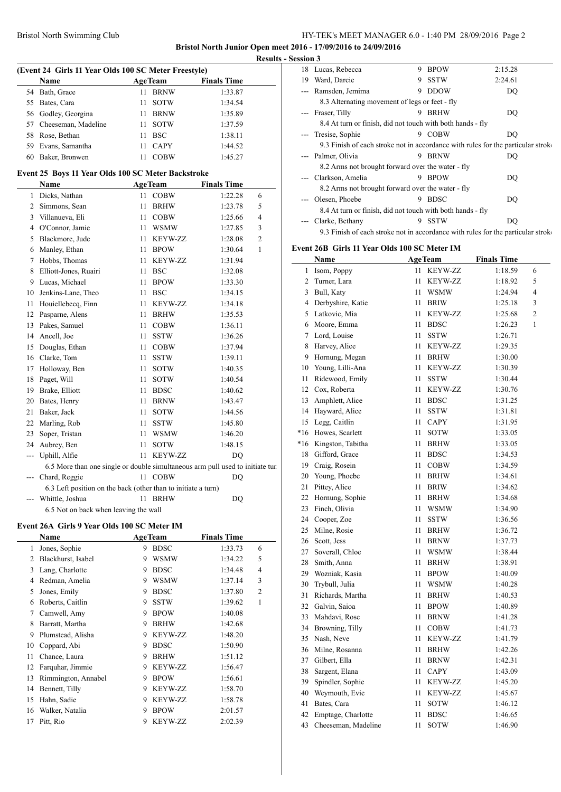### Bristol North Swimming Club HY-TEK's MEET MANAGER 6.0 - 1:40 PM 28/09/2016 Page 2

**Bristol North Junior Open meet 2016 - 17/09/2016 to 24/09/2016 Results - Ses** 

 $\overline{a}$ 

| (Event 24 Girls 11 Year Olds 100 SC Meter Freestyle) |                                                                                |    |                |                    |                |  |  |
|------------------------------------------------------|--------------------------------------------------------------------------------|----|----------------|--------------------|----------------|--|--|
|                                                      | Name                                                                           |    | <b>AgeTeam</b> | <b>Finals Time</b> |                |  |  |
| 54                                                   | Bath, Grace                                                                    | 11 | <b>BRNW</b>    | 1:33.87            |                |  |  |
| 55                                                   | Bates, Cara                                                                    | 11 | SOTW           | 1:34.54            |                |  |  |
|                                                      | 56 Godley, Georgina                                                            | 11 | <b>BRNW</b>    | 1:35.89            |                |  |  |
|                                                      | 57 Cheeseman, Madeline                                                         | 11 | <b>SOTW</b>    | 1:37.59            |                |  |  |
|                                                      | 58 Rose, Bethan                                                                | 11 | <b>BSC</b>     | 1:38.11            |                |  |  |
|                                                      | 59 Evans, Samantha                                                             | 11 | CAPY           | 1:44.52            |                |  |  |
| 60                                                   | Baker, Bronwen                                                                 | 11 | <b>COBW</b>    | 1:45.27            |                |  |  |
|                                                      | Event 25 Boys 11 Year Olds 100 SC Meter Backstroke                             |    |                |                    |                |  |  |
|                                                      | Name                                                                           |    | <b>AgeTeam</b> | <b>Finals Time</b> |                |  |  |
| 1                                                    | Dicks, Nathan                                                                  |    | 11 COBW        | 1:22.28            | 6              |  |  |
| 2                                                    | Simmons, Sean                                                                  | 11 | <b>BRHW</b>    | 1:23.78            | 5              |  |  |
| 3                                                    | Villanueva, Eli                                                                | 11 | <b>COBW</b>    | 1:25.66            | 4              |  |  |
|                                                      | 4 O'Connor, Jamie                                                              | 11 | <b>WSMW</b>    | 1:27.85            | 3              |  |  |
| 5                                                    | Blackmore, Jude                                                                | 11 | KEYW-ZZ        | 1:28.08            | $\overline{c}$ |  |  |
|                                                      |                                                                                | 11 |                |                    | 1              |  |  |
| 6                                                    | Manley, Ethan                                                                  |    | <b>BPOW</b>    | 1:30.64            |                |  |  |
| 7                                                    | Hobbs, Thomas                                                                  | 11 | KEYW-ZZ        | 1:31.94            |                |  |  |
| 8                                                    | Elliott-Jones, Ruairi                                                          | 11 | <b>BSC</b>     | 1:32.08            |                |  |  |
|                                                      | 9 Lucas, Michael                                                               | 11 | <b>BPOW</b>    | 1:33.30            |                |  |  |
|                                                      | 10 Jenkins-Lane, Theo                                                          | 11 | <b>BSC</b>     | 1:34.15            |                |  |  |
| 11                                                   | Houiellebecq, Finn                                                             | 11 | KEYW-ZZ        | 1:34.18            |                |  |  |
| 12                                                   | Pasparne, Alens                                                                | 11 | <b>BRHW</b>    | 1:35.53            |                |  |  |
| 13                                                   | Pakes, Samuel                                                                  | 11 | <b>COBW</b>    | 1:36.11            |                |  |  |
| 14                                                   | Ancell, Joe                                                                    | 11 | <b>SSTW</b>    | 1:36.26            |                |  |  |
| 15                                                   | Douglas, Ethan                                                                 | 11 | <b>COBW</b>    | 1:37.94            |                |  |  |
|                                                      | 16 Clarke, Tom                                                                 | 11 | SSTW           | 1:39.11            |                |  |  |
| 17                                                   | Holloway, Ben                                                                  | 11 | SOTW           | 1:40.35            |                |  |  |
| 18                                                   | Paget, Will                                                                    | 11 | SOTW           | 1:40.54            |                |  |  |
| 19                                                   | Brake, Elliott                                                                 | 11 | <b>BDSC</b>    | 1:40.62            |                |  |  |
| 20                                                   | Bates, Henry                                                                   | 11 | <b>BRNW</b>    | 1:43.47            |                |  |  |
| 21                                                   | Baker, Jack                                                                    | 11 | SOTW           | 1:44.56            |                |  |  |
| 22                                                   | Marling, Rob                                                                   | 11 | SSTW           | 1:45.80            |                |  |  |
| 23                                                   | Soper, Tristan                                                                 | 11 | <b>WSMW</b>    | 1:46.20            |                |  |  |
| 24                                                   | Aubrey, Ben                                                                    | 11 | <b>SOTW</b>    | 1:48.15            |                |  |  |
| ---                                                  | Uphill, Alfie                                                                  | 11 | KEYW-ZZ        | DQ                 |                |  |  |
|                                                      | 6.5 More than one single or double simultaneous arm pull used to initiate turn |    |                |                    |                |  |  |
| $---$                                                | Chard, Reggie                                                                  |    | 11 COBW        | DQ                 |                |  |  |
|                                                      | 6.3 Left position on the back (other than to initiate a turn)                  |    |                |                    |                |  |  |
|                                                      | Whittle, Joshua                                                                | 11 | <b>BRHW</b>    | DO                 |                |  |  |
|                                                      | 6.5 Not on back when leaving the wall                                          |    |                |                    |                |  |  |
|                                                      | Event 26A Girls 9 Year Olds 100 SC Meter IM                                    |    |                |                    |                |  |  |
|                                                      | Name                                                                           |    | <b>AgeTeam</b> | <b>Finals Time</b> |                |  |  |
| 1                                                    | Jones, Sophie                                                                  | 9  | <b>BDSC</b>    | 1:33.73            | 6              |  |  |
|                                                      | 2 Blackhurst, Isabel                                                           |    | 9 WSMW         | 1:34.22            | 5              |  |  |
|                                                      | 3 Lang, Charlotte                                                              |    | 9 BDSC         | 1:34.48            | 4              |  |  |
|                                                      | 4 Redman, Amelia                                                               |    | 9 WSMW         | 1:37.14            | 3              |  |  |
| 5                                                    | Jones, Emily                                                                   |    | 9 BDSC         | 1:37.80            | $\overline{c}$ |  |  |
|                                                      | 6 Roberts, Caitlin                                                             |    | 9 SSTW         | 1:39.62            | 1              |  |  |
|                                                      | 7 Camwell, Amy                                                                 |    | 9 BPOW         | 1:40.08            |                |  |  |
|                                                      | 8 Barratt, Martha                                                              |    | 9 BRHW         | 1:42.68            |                |  |  |
|                                                      | 9 Plumstead, Alisha                                                            |    | 9 KEYW-ZZ      | 1:48.20            |                |  |  |
| 10                                                   | Coppard, Abi                                                                   |    | 9 BDSC         | 1:50.90            |                |  |  |
| 11                                                   | Chance, Laura                                                                  |    | 9 BRHW         | 1:51.12            |                |  |  |
|                                                      | 12 Farquhar, Jimmie                                                            |    | 9 KEYW-ZZ      | 1:56.47            |                |  |  |
| 13                                                   | Rimmington, Annabel                                                            |    | 9 BPOW         | 1:56.61            |                |  |  |
|                                                      | 14 Bennett, Tilly                                                              |    | 9 KEYW-ZZ      | 1:58.70            |                |  |  |
| 15                                                   | Hahn, Sadie                                                                    |    | 9 KEYW-ZZ      | 1:58.78            |                |  |  |
| 16                                                   | Walker, Natalia                                                                | 9  | <b>BPOW</b>    | 2:01.57            |                |  |  |
| 17                                                   | Pitt, Rio                                                                      | 9  | KEYW-ZZ        | 2:02.39            |                |  |  |

| ssion 3                                                                                                                                                                                                                                                                                                                                                                                                                                                                    |                                                                                  |   |             |         |
|----------------------------------------------------------------------------------------------------------------------------------------------------------------------------------------------------------------------------------------------------------------------------------------------------------------------------------------------------------------------------------------------------------------------------------------------------------------------------|----------------------------------------------------------------------------------|---|-------------|---------|
|                                                                                                                                                                                                                                                                                                                                                                                                                                                                            | 18 Lucas, Rebecca                                                                | 9 | <b>BPOW</b> | 2:15.28 |
| 19                                                                                                                                                                                                                                                                                                                                                                                                                                                                         | Ward, Darcie                                                                     |   | 9 SSTW      | 2:24.61 |
|                                                                                                                                                                                                                                                                                                                                                                                                                                                                            | Ramsden, Jemima                                                                  | 9 | <b>DDOW</b> | DQ      |
|                                                                                                                                                                                                                                                                                                                                                                                                                                                                            | 8.3 Alternating movement of legs or feet - fly                                   |   |             |         |
|                                                                                                                                                                                                                                                                                                                                                                                                                                                                            | Fraser, Tilly                                                                    | 9 | <b>BRHW</b> | DQ      |
|                                                                                                                                                                                                                                                                                                                                                                                                                                                                            | 8.4 At turn or finish, did not touch with both hands - fly                       |   |             |         |
| $\frac{1}{2} \left( \frac{1}{2} \right) \left( \frac{1}{2} \right) \left( \frac{1}{2} \right) \left( \frac{1}{2} \right) \left( \frac{1}{2} \right) \left( \frac{1}{2} \right) \left( \frac{1}{2} \right) \left( \frac{1}{2} \right) \left( \frac{1}{2} \right) \left( \frac{1}{2} \right) \left( \frac{1}{2} \right) \left( \frac{1}{2} \right) \left( \frac{1}{2} \right) \left( \frac{1}{2} \right) \left( \frac{1}{2} \right) \left( \frac{1}{2} \right) \left( \frac$ | Tresise, Sophie                                                                  | 9 | <b>COBW</b> | DO      |
|                                                                                                                                                                                                                                                                                                                                                                                                                                                                            | 9.3 Finish of each stroke not in accordance with rules for the particular stroke |   |             |         |
|                                                                                                                                                                                                                                                                                                                                                                                                                                                                            | Palmer, Olivia                                                                   | 9 | <b>BRNW</b> | DO      |
|                                                                                                                                                                                                                                                                                                                                                                                                                                                                            | 8.2 Arms not brought forward over the water - fly                                |   |             |         |
|                                                                                                                                                                                                                                                                                                                                                                                                                                                                            | --- Clarkson, Amelia                                                             | 9 | <b>BPOW</b> | DQ      |
|                                                                                                                                                                                                                                                                                                                                                                                                                                                                            | 8.2 Arms not brought forward over the water - fly                                |   |             |         |
|                                                                                                                                                                                                                                                                                                                                                                                                                                                                            | Olesen, Phoebe                                                                   | 9 | <b>BDSC</b> | DO      |
|                                                                                                                                                                                                                                                                                                                                                                                                                                                                            | 8.4 At turn or finish, did not touch with both hands - fly                       |   |             |         |
|                                                                                                                                                                                                                                                                                                                                                                                                                                                                            | Clarke, Bethany                                                                  | 9 | <b>SSTW</b> | DQ      |
|                                                                                                                                                                                                                                                                                                                                                                                                                                                                            | 9.3 Finish of each stroke not in accordance with rules for the particular stroke |   |             |         |

### **Event 26B Girls 11 Year Olds 100 SC Meter IM**

|       | <b>Name</b>         | <b>AgeTeam</b> |                | <b>Finals Time</b> |                |
|-------|---------------------|----------------|----------------|--------------------|----------------|
| 1     | Isom, Poppy         | 11             | <b>KEYW-ZZ</b> | 1:18.59            | 6              |
| 2     | Turner, Lara        | 11             | KEYW-ZZ        | 1:18.92            | 5              |
| 3     | Bull, Katy          | 11             | <b>WSMW</b>    | 1:24.94            | 4              |
| 4     | Derbyshire, Katie   | 11             | <b>BRIW</b>    | 1:25.18            | 3              |
| 5     | Latkovic, Mia       | 11             | <b>KEYW-ZZ</b> | 1:25.68            | $\overline{c}$ |
| 6     | Moore, Emma         | 11             | <b>BDSC</b>    | 1:26.23            | $\mathbf{1}$   |
| 7     | Lord, Louise        | 11             | <b>SSTW</b>    | 1:26.71            |                |
| 8     | Harvey, Alice       | 11             | <b>KEYW-ZZ</b> | 1:29.35            |                |
| 9     | Hornung, Megan      | 11             | <b>BRHW</b>    | 1:30.00            |                |
| 10    | Young, Lilli-Ana    | 11             | <b>KEYW-ZZ</b> | 1:30.39            |                |
| 11    | Ridewood, Emily     | 11             | <b>SSTW</b>    | 1:30.44            |                |
| 12    | Cox, Roberta        | 11             | <b>KEYW-ZZ</b> | 1:30.76            |                |
| 13    | Amphlett, Alice     | 11             | <b>BDSC</b>    | 1:31.25            |                |
| 14    | Hayward, Alice      | 11             | <b>SSTW</b>    | 1:31.81            |                |
| 15    | Legg, Caitlin       | 11             | <b>CAPY</b>    | 1:31.95            |                |
| $*16$ | Howes, Scarlett     | 11             | <b>SOTW</b>    | 1:33.05            |                |
| $*16$ | Kingston, Tabitha   | 11             | <b>BRHW</b>    | 1:33.05            |                |
| 18    | Gifford, Grace      | 11             | <b>BDSC</b>    | 1:34.53            |                |
|       | 19 Craig, Rosein    | 11             | <b>COBW</b>    | 1:34.59            |                |
| 20    | Young, Phoebe       | 11             | <b>BRHW</b>    | 1:34.61            |                |
| 21    | Pittey, Alice       | 11             | <b>BRIW</b>    | 1:34.62            |                |
| 22    | Hornung, Sophie     | 11             | <b>BRHW</b>    | 1:34.68            |                |
| 23    | Finch, Olivia       | 11             | <b>WSMW</b>    | 1:34.90            |                |
| 24    | Cooper, Zoe         | 11             | <b>SSTW</b>    | 1:36.56            |                |
| 25    | Milne, Rosie        | 11             | <b>BRHW</b>    | 1:36.72            |                |
| 26    | Scott, Jess         | 11             | <b>BRNW</b>    | 1:37.73            |                |
| 27    | Soverall, Chloe     | 11             | <b>WSMW</b>    | 1:38.44            |                |
| 28    | Smith, Anna         | 11             | <b>BRHW</b>    | 1:38.91            |                |
| 29    | Wozniak, Kasia      | 11             | <b>BPOW</b>    | 1:40.09            |                |
| 30    | Trybull, Julia      | 11             | <b>WSMW</b>    | 1:40.28            |                |
| 31    | Richards, Martha    | 11             | <b>BRHW</b>    | 1:40.53            |                |
| 32    | Galvin, Saioa       | 11             | <b>BPOW</b>    | 1:40.89            |                |
| 33    | Mahdavi, Rose       | 11             | <b>BRNW</b>    | 1:41.28            |                |
| 34    | Browning, Tilly     | 11             | <b>COBW</b>    | 1:41.73            |                |
| 35    | Nash, Neve          | 11             | <b>KEYW-ZZ</b> | 1:41.79            |                |
| 36    | Milne, Rosanna      | 11             | <b>BRHW</b>    | 1:42.26            |                |
| 37    | Gilbert, Ella       | 11             | <b>BRNW</b>    | 1:42.31            |                |
| 38    | Sargent, Elana      | 11             | <b>CAPY</b>    | 1:43.09            |                |
| 39    | Spindler, Sophie    | 11             | KEYW-ZZ        | 1:45.20            |                |
| 40    | Weymouth, Evie      | 11             | KEYW-ZZ        | 1:45.67            |                |
| 41    | Bates, Cara         | 11             | <b>SOTW</b>    | 1:46.12            |                |
| 42    | Emptage, Charlotte  | 11             | <b>BDSC</b>    | 1:46.65            |                |
| 43    | Cheeseman, Madeline | 11             | <b>SOTW</b>    | 1:46.90            |                |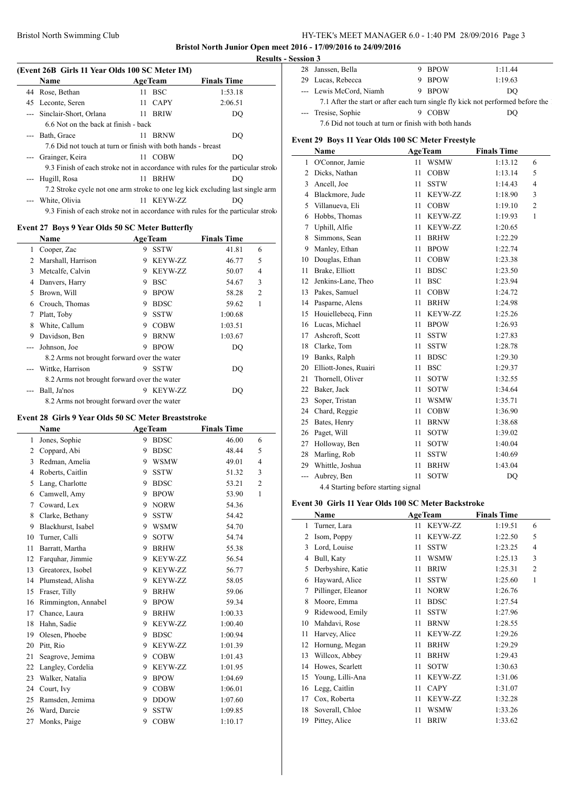### Bristol North Swimming Club HY-TEK's MEET MANAGER 6.0 - 1:40 PM 28/09/2016 Page 3

**Bristol North Junior Open meet 2016 - 17/09/2016 to 24/09/2016**

L.

### **(Event 26B Girls 11 Year Olds 100 SC Meter IM)**

|                            |    |             |                                                                                                                            | ∠∪                                                                                                                                                                                                                                                                                                                                                                                                                             |
|----------------------------|----|-------------|----------------------------------------------------------------------------------------------------------------------------|--------------------------------------------------------------------------------------------------------------------------------------------------------------------------------------------------------------------------------------------------------------------------------------------------------------------------------------------------------------------------------------------------------------------------------|
| <b>Name</b>                |    |             | <b>Finals Time</b>                                                                                                         | 29                                                                                                                                                                                                                                                                                                                                                                                                                             |
| 44 Rose, Bethan            |    |             | 1:53.18                                                                                                                    |                                                                                                                                                                                                                                                                                                                                                                                                                                |
| 45 Leconte, Seren          |    |             | 2:06.51                                                                                                                    |                                                                                                                                                                                                                                                                                                                                                                                                                                |
| --- Sinclair-Short, Orlana |    |             | DQ                                                                                                                         |                                                                                                                                                                                                                                                                                                                                                                                                                                |
|                            |    |             |                                                                                                                            |                                                                                                                                                                                                                                                                                                                                                                                                                                |
| Bath, Grace<br>$---$       | 11 | <b>BRNW</b> | DQ                                                                                                                         | Event                                                                                                                                                                                                                                                                                                                                                                                                                          |
|                            |    |             |                                                                                                                            |                                                                                                                                                                                                                                                                                                                                                                                                                                |
| Grainger, Keira            |    |             | DO                                                                                                                         |                                                                                                                                                                                                                                                                                                                                                                                                                                |
|                            |    |             |                                                                                                                            | $\overline{c}$                                                                                                                                                                                                                                                                                                                                                                                                                 |
| --- Hugill, Rosa           |    |             | DO                                                                                                                         | 3                                                                                                                                                                                                                                                                                                                                                                                                                              |
|                            |    |             |                                                                                                                            |                                                                                                                                                                                                                                                                                                                                                                                                                                |
| White, Olivia              |    |             | DO                                                                                                                         | 4                                                                                                                                                                                                                                                                                                                                                                                                                              |
|                            |    |             |                                                                                                                            |                                                                                                                                                                                                                                                                                                                                                                                                                                |
|                            |    |             |                                                                                                                            | 6<br>7                                                                                                                                                                                                                                                                                                                                                                                                                         |
|                            |    |             |                                                                                                                            |                                                                                                                                                                                                                                                                                                                                                                                                                                |
|                            |    |             | <b>AgeTeam</b><br>11 BSC<br>11 CAPY<br>11 BRIW<br>6.6 Not on the back at finish - back<br>11 COBW<br>11 BRHW<br>11 KEYW-ZZ | (Event 2015) Gifts 11 Year Olds Too SC Meter IIVI)<br>7.6 Did not touch at turn or finish with both hands - breast<br>9.3 Finish of each stroke not in accordance with rules for the particular stroke<br>7.2 Stroke cycle not one arm stroke to one leg kick excluding last single arm<br>9.3 Finish of each stroke not in accordance with rules for the particular stroke<br>Event 27 Boys 9 Year Olds 50 SC Meter Butterfly |

|               | Name                                        |   | <b>AgeTeam</b> | <b>Finals Time</b> |   |  |
|---------------|---------------------------------------------|---|----------------|--------------------|---|--|
| 1             | Cooper, Zac                                 | 9 | <b>SSTW</b>    | 41.81              | 6 |  |
| $\mathcal{L}$ | Marshall, Harrison                          | 9 | <b>KEYW-ZZ</b> | 46.77              | 5 |  |
| 3             | Metcalfe, Calvin                            | 9 | <b>KEYW-ZZ</b> | 50.07              | 4 |  |
| 4             | Danvers, Harry                              | 9 | <b>BSC</b>     | 54.67              | 3 |  |
| 5             | Brown, Will                                 | 9 | <b>BPOW</b>    | 58.28              | 2 |  |
| 6             | Crouch, Thomas                              | 9 | <b>BDSC</b>    | 59.62              | 1 |  |
| 7             | Platt, Toby                                 | 9 | <b>SSTW</b>    | 1:00.68            |   |  |
| 8             | White, Callum                               | 9 | <b>COBW</b>    | 1:03.51            |   |  |
| 9             | Davidson, Ben                               | 9 | <b>BRNW</b>    | 1:03.67            |   |  |
|               | Johnson, Joe                                | 9 | <b>BPOW</b>    | DQ                 |   |  |
|               | 8.2 Arms not brought forward over the water |   |                |                    |   |  |
|               | Wittke, Harrison                            | 9 | <b>SSTW</b>    | DO                 |   |  |
|               | 8.2 Arms not brought forward over the water |   |                |                    |   |  |
|               | Ball, Ja'nos                                | 9 | <b>KEYW-ZZ</b> | DO                 |   |  |
|               | 8.2 Arms not brought forward over the water |   |                |                    |   |  |

#### **Event 28 Girls 9 Year Olds 50 SC Meter Breaststroke**

|    | Name                | <b>AgeTeam</b> |                | <b>Finals Time</b> |                |  |
|----|---------------------|----------------|----------------|--------------------|----------------|--|
| 1  | Jones, Sophie       | 9              | <b>BDSC</b>    | 46.00              | 6              |  |
| 2  | Coppard, Abi        | 9              | <b>BDSC</b>    | 48.44              | 5              |  |
| 3  | Redman, Amelia      | 9              | <b>WSMW</b>    | 49.01              | $\overline{4}$ |  |
| 4  | Roberts, Caitlin    | 9              | <b>SSTW</b>    | 51.32              | 3              |  |
| 5  | Lang, Charlotte     | 9              | <b>BDSC</b>    | 53.21              | $\overline{2}$ |  |
| 6  | Camwell, Amy        | 9              | <b>BPOW</b>    | 53.90              | $\mathbf{1}$   |  |
| 7  | Coward, Lex         | 9              | <b>NORW</b>    | 54.36              |                |  |
| 8  | Clarke, Bethany     | 9              | <b>SSTW</b>    | 54.42              |                |  |
| 9  | Blackhurst, Isabel  | 9              | <b>WSMW</b>    | 54.70              |                |  |
| 10 | Turner, Calli       | 9              | <b>SOTW</b>    | 54.74              |                |  |
| 11 | Barratt, Martha     | 9              | <b>BRHW</b>    | 55.38              |                |  |
| 12 | Farquhar, Jimmie    | 9              | KEYW-ZZ        | 56.54              |                |  |
| 13 | Greatorex, Isobel   | 9              | <b>KEYW-ZZ</b> | 56.77              |                |  |
| 14 | Plumstead, Alisha   | 9              | <b>KEYW-ZZ</b> | 58.05              |                |  |
| 15 | Fraser, Tilly       | 9              | <b>BRHW</b>    | 59.06              |                |  |
| 16 | Rimmington, Annabel | 9              | <b>BPOW</b>    | 59.34              |                |  |
| 17 | Chance, Laura       | 9              | <b>BRHW</b>    | 1:00.33            |                |  |
| 18 | Hahn, Sadie         | 9              | KEYW-ZZ        | 1:00.40            |                |  |
| 19 | Olesen, Phoebe      | 9              | <b>BDSC</b>    | 1:00.94            |                |  |
| 20 | Pitt, Rio           | 9              | <b>KEYW-ZZ</b> | 1:01.39            |                |  |
| 21 | Seagrove, Jemima    | 9              | <b>COBW</b>    | 1:01.43            |                |  |
| 22 | Langley, Cordelia   | 9              | KEYW-ZZ        | 1:01.95            |                |  |
| 23 | Walker, Natalia     | 9              | <b>BPOW</b>    | 1:04.69            |                |  |
| 24 | Court, Ivy          | 9              | <b>COBW</b>    | 1:06.01            |                |  |
| 25 | Ramsden, Jemima     | 9              | <b>DDOW</b>    | 1:07.60            |                |  |
| 26 | Ward, Darcie        | 9              | <b>SSTW</b>    | 1:09.85            |                |  |
| 27 | Monks, Paige        | 9              | <b>COBW</b>    | 1:10.17            |                |  |

| <b>Results - Session 3</b>                                                      |                         |    |             |         |  |
|---------------------------------------------------------------------------------|-------------------------|----|-------------|---------|--|
| 28                                                                              | Janssen, Bella          | 9. | BPOW        | 1:11.44 |  |
|                                                                                 | 29 Lucas, Rebecca       |    | 9 BPOW      | 1:19.63 |  |
|                                                                                 | --- Lewis McCord, Niamh |    | 9 BPOW      | DO      |  |
| 7.1 After the start or after each turn single fly kick not performed before the |                         |    |             |         |  |
|                                                                                 | --- Tresise, Sophie     |    | <b>COBW</b> | DΟ      |  |
|                                                                                 |                         |    |             |         |  |

7.6 Did not touch at turn or finish with both hands

#### **Event 29 Boys 11 Year Olds 100 SC Meter Freestyle**

|                | Name                                |    | <b>AgeTeam</b> | <b>Finals Time</b> |                |  |
|----------------|-------------------------------------|----|----------------|--------------------|----------------|--|
| 1              | O'Connor, Jamie                     | 11 | <b>WSMW</b>    | 1:13.12            | 6              |  |
| $\overline{c}$ | Dicks, Nathan                       | 11 | <b>COBW</b>    | 1:13.14            | 5              |  |
| 3              | Ancell, Joe                         | 11 | <b>SSTW</b>    | 1:14.43            | 4              |  |
| 4              | Blackmore, Jude                     | 11 | KEYW-ZZ        | 1:18.90            | 3              |  |
| 5              | Villanueva, Eli                     | 11 | <b>COBW</b>    | 1:19.10            | $\mathfrak{2}$ |  |
| 6              | Hobbs, Thomas                       | 11 | KEYW-ZZ        | 1:19.93            | 1              |  |
| 7              | Uphill, Alfie                       | 11 | <b>KEYW-ZZ</b> | 1:20.65            |                |  |
| 8              | Simmons, Sean                       | 11 | <b>BRHW</b>    | 1:22.29            |                |  |
| 9              | Manley, Ethan                       | 11 | <b>BPOW</b>    | 1:22.74            |                |  |
| 10             | Douglas, Ethan                      | 11 | <b>COBW</b>    | 1:23.38            |                |  |
| 11             | Brake, Elliott                      | 11 | <b>BDSC</b>    | 1:23.50            |                |  |
| 12             | Jenkins-Lane, Theo                  | 11 | <b>BSC</b>     | 1:23.94            |                |  |
| 13             | Pakes, Samuel                       | 11 | <b>COBW</b>    | 1:24.72            |                |  |
| 14             | Pasparne, Alens                     | 11 | <b>BRHW</b>    | 1:24.98            |                |  |
| 15             | Houiellebecq, Finn                  | 11 | KEYW-ZZ        | 1:25.26            |                |  |
| 16             | Lucas, Michael                      | 11 | <b>BPOW</b>    | 1:26.93            |                |  |
| 17             | Ashcroft, Scott                     | 11 | SSTW           | 1:27.83            |                |  |
| 18             | Clarke, Tom                         | 11 | <b>SSTW</b>    | 1:28.78            |                |  |
| 19             | Banks, Ralph                        | 11 | <b>BDSC</b>    | 1:29.30            |                |  |
| 20             | Elliott-Jones, Ruairi               | 11 | <b>BSC</b>     | 1:29.37            |                |  |
| 21             | Thornell, Oliver                    | 11 | <b>SOTW</b>    | 1:32.55            |                |  |
| 22             | Baker, Jack                         | 11 | <b>SOTW</b>    | 1:34.64            |                |  |
| 23             | Soper, Tristan                      | 11 | <b>WSMW</b>    | 1:35.71            |                |  |
| 24             | Chard, Reggie                       | 11 | <b>COBW</b>    | 1:36.90            |                |  |
| 25             | Bates, Henry                        | 11 | <b>BRNW</b>    | 1:38.68            |                |  |
| 26             | Paget, Will                         | 11 | <b>SOTW</b>    | 1:39.02            |                |  |
| 27             | Holloway, Ben                       | 11 | SOTW           | 1:40.04            |                |  |
| 28             | Marling, Rob                        | 11 | SSTW           | 1:40.69            |                |  |
| 29             | Whittle, Joshua                     | 11 | <b>BRHW</b>    | 1:43.04            |                |  |
| ---            | Aubrey, Ben                         | 11 | SOTW           | DQ                 |                |  |
|                | 4.4 Starting before starting signal |    |                |                    |                |  |

### **Event 30 Girls 11 Year Olds 100 SC Meter Backstroke**

|    | Name               |    | <b>AgeTeam</b> | <b>Finals Time</b> |                |
|----|--------------------|----|----------------|--------------------|----------------|
| 1  | Turner, Lara       | 11 | <b>KEYW-ZZ</b> | 1:19.51            | 6              |
| 2  | Isom, Poppy        | 11 | KEYW-ZZ        | 1:22.50            | 5              |
| 3  | Lord, Louise       | 11 | <b>SSTW</b>    | 1:23.25            | 4              |
| 4  | Bull, Katy         | 11 | <b>WSMW</b>    | 1:25.13            | 3              |
| 5  | Derbyshire, Katie  | 11 | <b>BRIW</b>    | 1:25.31            | $\overline{2}$ |
| 6  | Hayward, Alice     | 11 | SSTW           | 1:25.60            | 1              |
| 7  | Pillinger, Eleanor | 11 | <b>NORW</b>    | 1:26.76            |                |
| 8  | Moore, Emma        | 11 | <b>BDSC</b>    | 1:27.54            |                |
| 9  | Ridewood, Emily    | 11 | <b>SSTW</b>    | 1:27.96            |                |
| 10 | Mahdavi, Rose      | 11 | <b>BRNW</b>    | 1:28.55            |                |
| 11 | Harvey, Alice      | 11 | <b>KEYW-ZZ</b> | 1:29.26            |                |
| 12 | Hornung, Megan     | 11 | <b>BRHW</b>    | 1:29.29            |                |
| 13 | Willcox, Abbey     | 11 | <b>BRHW</b>    | 1:29.43            |                |
| 14 | Howes, Scarlett    | 11 | <b>SOTW</b>    | 1:30.63            |                |
| 15 | Young, Lilli-Ana   | 11 | <b>KEYW-ZZ</b> | 1:31.06            |                |
| 16 | Legg, Caitlin      | 11 | <b>CAPY</b>    | 1:31.07            |                |
| 17 | Cox, Roberta       | 11 | <b>KEYW-ZZ</b> | 1:32.28            |                |
| 18 | Soverall, Chloe    | 11 | <b>WSMW</b>    | 1:33.26            |                |
| 19 | Pittey, Alice      | 11 | <b>BRIW</b>    | 1:33.62            |                |